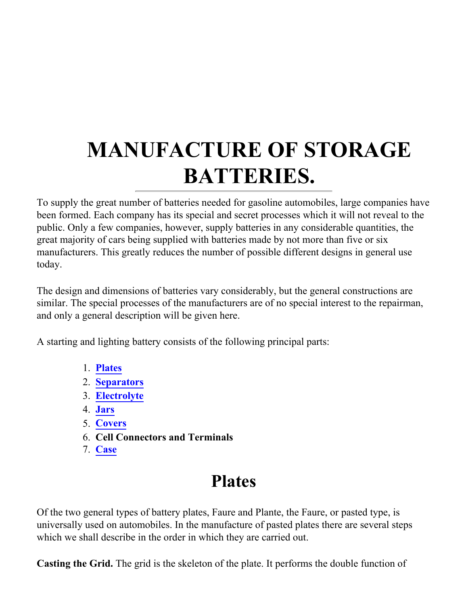# **MANUFACTURE OF STORAGE BATTERIES.**

To supply the great number of batteries needed for gasoline automobiles, large companies have been formed. Each company has its special and secret processes which it will not reveal to the public. Only a few companies, however, supply batteries in any considerable quantities, the great majority of cars being supplied with batteries made by not more than five or six manufacturers. This greatly reduces the number of possible different designs in general use today.

The design and dimensions of batteries vary considerably, but the general constructions are similar. The special processes of the manufacturers are of no special interest to the repairman, and only a general description will be given here.

A starting and lighting battery consists of the following principal parts:

- 1. **[Plates](#page-0-0)**
- 2. **[Separators](#page-6-0)**
- 3. **[Electrolyte](#page-8-0)**
- 4. **[Jars](#page-8-1)**
- 5. **[Covers](#page-8-2)**
- 6. **Cell Connectors and Terminals**
- 7. **[Case](#page-18-0)**

# **Plates**

<span id="page-0-0"></span>Of the two general types of battery plates, Faure and Plante, the Faure, or pasted type, is universally used on automobiles. In the manufacture of pasted plates there are several steps which we shall describe in the order in which they are carried out.

**Casting the Grid.** The grid is the skeleton of the plate. It performs the double function of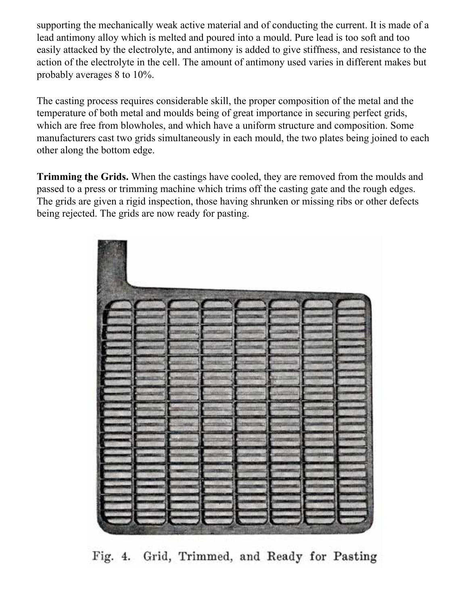supporting the mechanically weak active material and of conducting the current. It is made of a lead antimony alloy which is melted and poured into a mould. Pure lead is too soft and too easily attacked by the electrolyte, and antimony is added to give stiffness, and resistance to the action of the electrolyte in the cell. The amount of antimony used varies in different makes but probably averages 8 to 10%.

The casting process requires considerable skill, the proper composition of the metal and the temperature of both metal and moulds being of great importance in securing perfect grids, which are free from blowholes, and which have a uniform structure and composition. Some manufacturers cast two grids simultaneously in each mould, the two plates being joined to each other along the bottom edge.

**Trimming the Grids.** When the castings have cooled, they are removed from the moulds and passed to a press or trimming machine which trims off the casting gate and the rough edges. The grids are given a rigid inspection, those having shrunken or missing ribs or other defects being rejected. The grids are now ready for pasting.

Fig. 4. Grid, Trimmed, and Ready for Pasting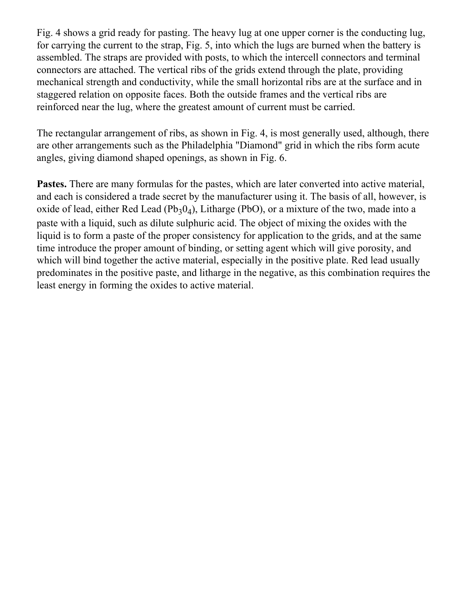Fig. 4 shows a grid ready for pasting. The heavy lug at one upper corner is the conducting lug, for carrying the current to the strap, Fig. 5, into which the lugs are burned when the battery is assembled. The straps are provided with posts, to which the intercell connectors and terminal connectors are attached. The vertical ribs of the grids extend through the plate, providing mechanical strength and conductivity, while the small horizontal ribs are at the surface and in staggered relation on opposite faces. Both the outside frames and the vertical ribs are reinforced near the lug, where the greatest amount of current must be carried.

The rectangular arrangement of ribs, as shown in Fig. 4, is most generally used, although, there are other arrangements such as the Philadelphia "Diamond" grid in which the ribs form acute angles, giving diamond shaped openings, as shown in Fig. 6.

**Pastes.** There are many formulas for the pastes, which are later converted into active material, and each is considered a trade secret by the manufacturer using it. The basis of all, however, is oxide of lead, either Red Lead  $(Pb_30_4)$ , Litharge (PbO), or a mixture of the two, made into a paste with a liquid, such as dilute sulphuric acid. The object of mixing the oxides with the liquid is to form a paste of the proper consistency for application to the grids, and at the same time introduce the proper amount of binding, or setting agent which will give porosity, and which will bind together the active material, especially in the positive plate. Red lead usually predominates in the positive paste, and litharge in the negative, as this combination requires the least energy in forming the oxides to active material.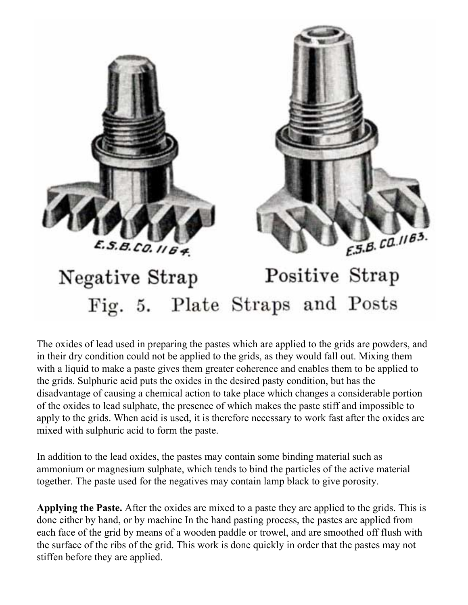



#### Positive Strap Negative Strap Fig. 5. Plate Straps and Posts

The oxides of lead used in preparing the pastes which are applied to the grids are powders, and in their dry condition could not be applied to the grids, as they would fall out. Mixing them with a liquid to make a paste gives them greater coherence and enables them to be applied to the grids. Sulphuric acid puts the oxides in the desired pasty condition, but has the disadvantage of causing a chemical action to take place which changes a considerable portion of the oxides to lead sulphate, the presence of which makes the paste stiff and impossible to apply to the grids. When acid is used, it is therefore necessary to work fast after the oxides are mixed with sulphuric acid to form the paste.

In addition to the lead oxides, the pastes may contain some binding material such as ammonium or magnesium sulphate, which tends to bind the particles of the active material together. The paste used for the negatives may contain lamp black to give porosity.

**Applying the Paste.** After the oxides are mixed to a paste they are applied to the grids. This is done either by hand, or by machine In the hand pasting process, the pastes are applied from each face of the grid by means of a wooden paddle or trowel, and are smoothed off flush with the surface of the ribs of the grid. This work is done quickly in order that the pastes may not stiffen before they are applied.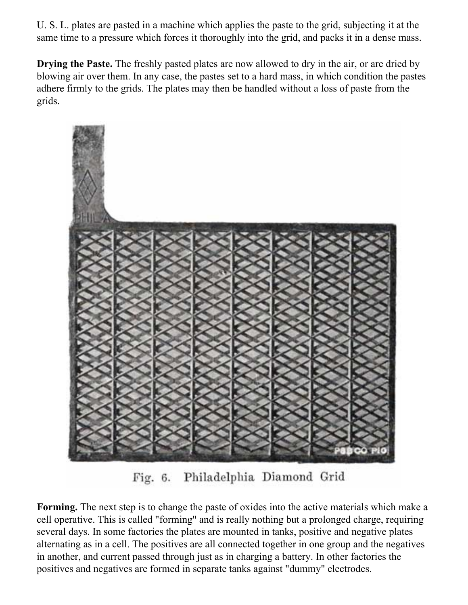U. S. L. plates are pasted in a machine which applies the paste to the grid, subjecting it at the same time to a pressure which forces it thoroughly into the grid, and packs it in a dense mass.

**Drying the Paste.** The freshly pasted plates are now allowed to dry in the air, or are dried by blowing air over them. In any case, the pastes set to a hard mass, in which condition the pastes adhere firmly to the grids. The plates may then be handled without a loss of paste from the grids.



Philadelphia Diamond Grid  $Fig. 6.$ 

**Forming.** The next step is to change the paste of oxides into the active materials which make a cell operative. This is called "forming" and is really nothing but a prolonged charge, requiring several days. In some factories the plates are mounted in tanks, positive and negative plates alternating as in a cell. The positives are all connected together in one group and the negatives in another, and current passed through just as in charging a battery. In other factories the positives and negatives are formed in separate tanks against "dummy" electrodes.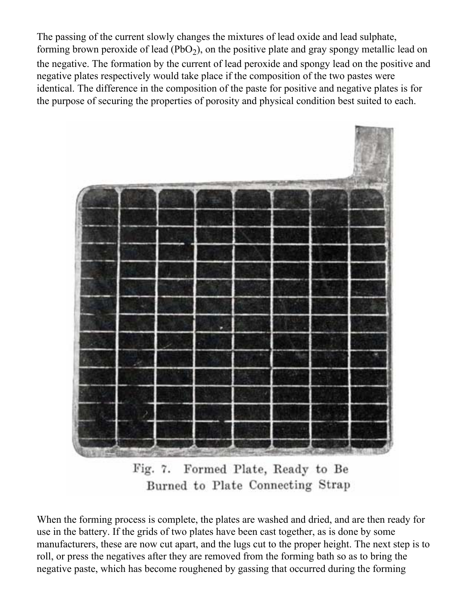The passing of the current slowly changes the mixtures of lead oxide and lead sulphate, forming brown peroxide of lead  $(PbO<sub>2</sub>)$ , on the positive plate and gray spongy metallic lead on the negative. The formation by the current of lead peroxide and spongy lead on the positive and negative plates respectively would take place if the composition of the two pastes were identical. The difference in the composition of the paste for positive and negative plates is for the purpose of securing the properties of porosity and physical condition best suited to each.



Fig. 7. Formed Plate, Ready to Be Burned to Plate Connecting Strap

When the forming process is complete, the plates are washed and dried, and are then ready for use in the battery. If the grids of two plates have been cast together, as is done by some manufacturers, these are now cut apart, and the lugs cut to the proper height. The next step is to roll, or press the negatives after they are removed from the forming bath so as to bring the negative paste, which has become roughened by gassing that occurred during the forming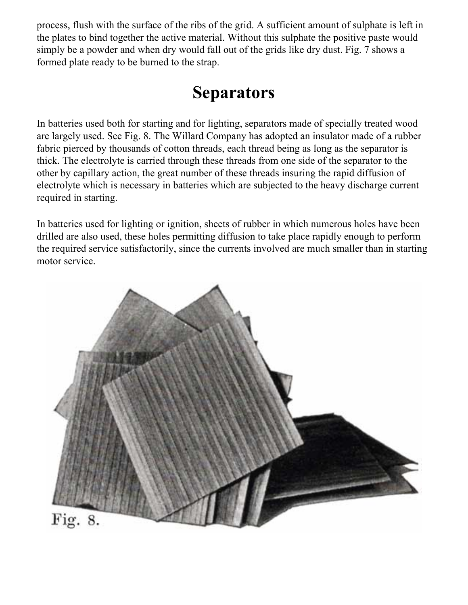<span id="page-6-0"></span>process, flush with the surface of the ribs of the grid. A sufficient amount of sulphate is left in the plates to bind together the active material. Without this sulphate the positive paste would simply be a powder and when dry would fall out of the grids like dry dust. Fig. 7 shows a formed plate ready to be burned to the strap.

### **Separators**

In batteries used both for starting and for lighting, separators made of specially treated wood are largely used. See Fig. 8. The Willard Company has adopted an insulator made of a rubber fabric pierced by thousands of cotton threads, each thread being as long as the separator is thick. The electrolyte is carried through these threads from one side of the separator to the other by capillary action, the great number of these threads insuring the rapid diffusion of electrolyte which is necessary in batteries which are subjected to the heavy discharge current required in starting.

In batteries used for lighting or ignition, sheets of rubber in which numerous holes have been drilled are also used, these holes permitting diffusion to take place rapidly enough to perform the required service satisfactorily, since the currents involved are much smaller than in starting motor service.

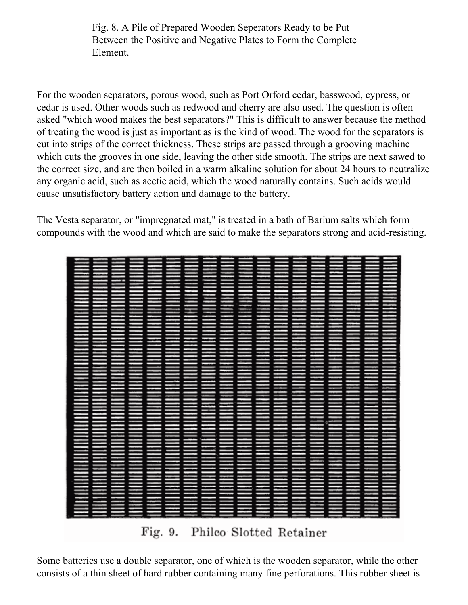Fig. 8. A Pile of Prepared Wooden Seperators Ready to be Put Between the Positive and Negative Plates to Form the Complete Element.

For the wooden separators, porous wood, such as Port Orford cedar, basswood, cypress, or cedar is used. Other woods such as redwood and cherry are also used. The question is often asked "which wood makes the best separators?" This is difficult to answer because the method of treating the wood is just as important as is the kind of wood. The wood for the separators is cut into strips of the correct thickness. These strips are passed through a grooving machine which cuts the grooves in one side, leaving the other side smooth. The strips are next sawed to the correct size, and are then boiled in a warm alkaline solution for about 24 hours to neutralize any organic acid, such as acetic acid, which the wood naturally contains. Such acids would cause unsatisfactory battery action and damage to the battery.

The Vesta separator, or "impregnated mat," is treated in a bath of Barium salts which form compounds with the wood and which are said to make the separators strong and acid-resisting.



Philco Slotted Retainer  $Fig. 9.$ 

Some batteries use a double separator, one of which is the wooden separator, while the other consists of a thin sheet of hard rubber containing many fine perforations. This rubber sheet is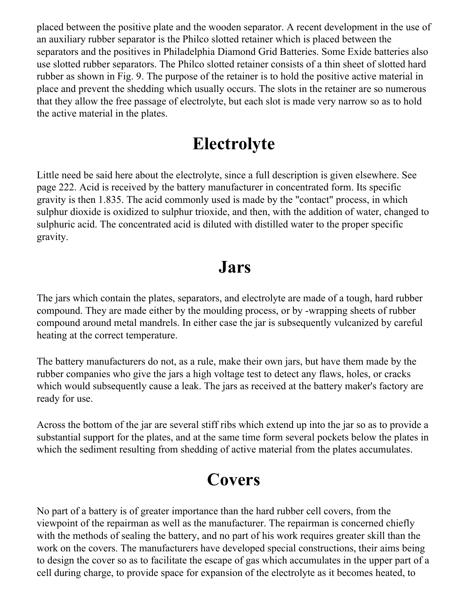placed between the positive plate and the wooden separator. A recent development in the use of an auxiliary rubber separator is the Philco slotted retainer which is placed between the separators and the positives in Philadelphia Diamond Grid Batteries. Some Exide batteries also use slotted rubber separators. The Philco slotted retainer consists of a thin sheet of slotted hard rubber as shown in Fig. 9. The purpose of the retainer is to hold the positive active material in place and prevent the shedding which usually occurs. The slots in the retainer are so numerous that they allow the free passage of electrolyte, but each slot is made very narrow so as to hold the active material in the plates.

### **Electrolyte**

<span id="page-8-0"></span>Little need be said here about the electrolyte, since a full description is given elsewhere. See page 222. Acid is received by the battery manufacturer in concentrated form. Its specific gravity is then 1.835. The acid commonly used is made by the "contact" process, in which sulphur dioxide is oxidized to sulphur trioxide, and then, with the addition of water, changed to sulphuric acid. The concentrated acid is diluted with distilled water to the proper specific gravity.

#### **Jars**

<span id="page-8-1"></span>The jars which contain the plates, separators, and electrolyte are made of a tough, hard rubber compound. They are made either by the moulding process, or by -wrapping sheets of rubber compound around metal mandrels. In either case the jar is subsequently vulcanized by careful heating at the correct temperature.

The battery manufacturers do not, as a rule, make their own jars, but have them made by the rubber companies who give the jars a high voltage test to detect any flaws, holes, or cracks which would subsequently cause a leak. The jars as received at the battery maker's factory are ready for use.

<span id="page-8-2"></span>Across the bottom of the jar are several stiff ribs which extend up into the jar so as to provide a substantial support for the plates, and at the same time form several pockets below the plates in which the sediment resulting from shedding of active material from the plates accumulates.

## **Covers**

No part of a battery is of greater importance than the hard rubber cell covers, from the viewpoint of the repairman as well as the manufacturer. The repairman is concerned chiefly with the methods of sealing the battery, and no part of his work requires greater skill than the work on the covers. The manufacturers have developed special constructions, their aims being to design the cover so as to facilitate the escape of gas which accumulates in the upper part of a cell during charge, to provide space for expansion of the electrolyte as it becomes heated, to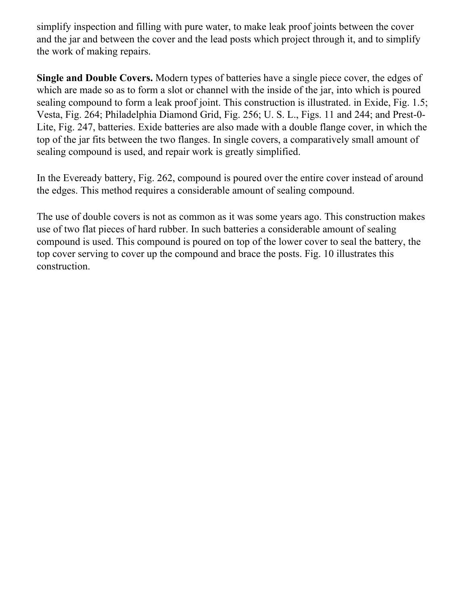simplify inspection and filling with pure water, to make leak proof joints between the cover and the jar and between the cover and the lead posts which project through it, and to simplify the work of making repairs.

**Single and Double Covers.** Modern types of batteries have a single piece cover, the edges of which are made so as to form a slot or channel with the inside of the jar, into which is poured sealing compound to form a leak proof joint. This construction is illustrated. in Exide, Fig. 1.5; Vesta, Fig. 264; Philadelphia Diamond Grid, Fig. 256; U. S. L., Figs. 11 and 244; and Prest-0- Lite, Fig. 247, batteries. Exide batteries are also made with a double flange cover, in which the top of the jar fits between the two flanges. In single covers, a comparatively small amount of sealing compound is used, and repair work is greatly simplified.

In the Eveready battery, Fig. 262, compound is poured over the entire cover instead of around the edges. This method requires a considerable amount of sealing compound.

The use of double covers is not as common as it was some years ago. This construction makes use of two flat pieces of hard rubber. In such batteries a considerable amount of sealing compound is used. This compound is poured on top of the lower cover to seal the battery, the top cover serving to cover up the compound and brace the posts. Fig. 10 illustrates this construction.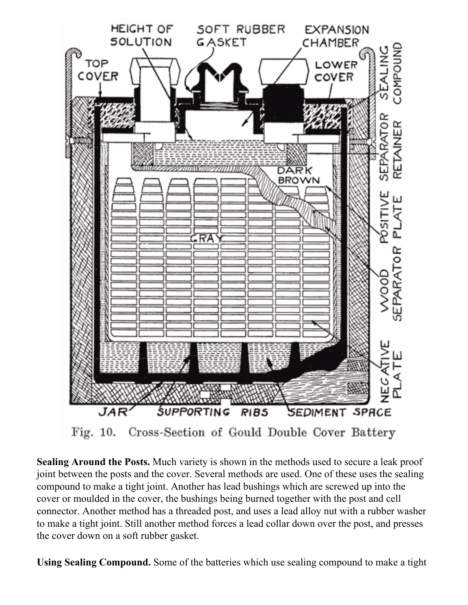

Cross-Section of Gould Double Cover Battery Fig. 10.

**Sealing Around the Posts.** Much variety is shown in the methods used to secure a leak proof joint between the posts and the cover. Several methods are used. One of these uses the sealing compound to make a tight joint. Another has lead bushings which are screwed up into the cover or moulded in the cover, the bushings being burned together with the post and cell connector. Another method has a threaded post, and uses a lead alloy nut with a rubber washer to make a tight joint. Still another method forces a lead collar down over the post, and presses the cover down on a soft rubber gasket.

**Using Sealing Compound.** Some of the batteries which use sealing compound to make a tight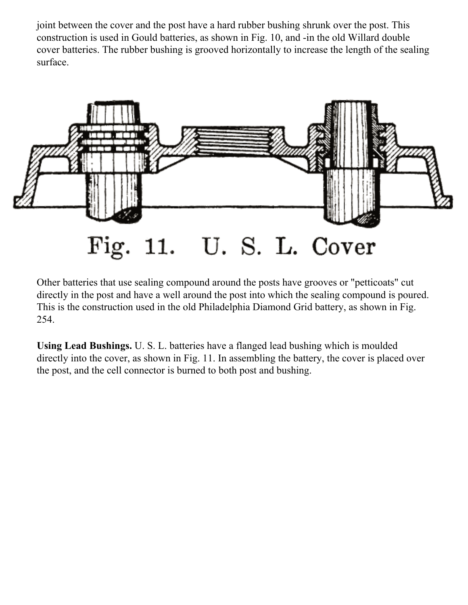joint between the cover and the post have a hard rubber bushing shrunk over the post. This construction is used in Gould batteries, as shown in Fig. 10, and -in the old Willard double cover batteries. The rubber bushing is grooved horizontally to increase the length of the sealing surface.



Other batteries that use sealing compound around the posts have grooves or "petticoats" cut directly in the post and have a well around the post into which the sealing compound is poured. This is the construction used in the old Philadelphia Diamond Grid battery, as shown in Fig. 254.

**Using Lead Bushings.** U. S. L. batteries have a flanged lead bushing which is moulded directly into the cover, as shown in Fig. 11. In assembling the battery, the cover is placed over the post, and the cell connector is burned to both post and bushing.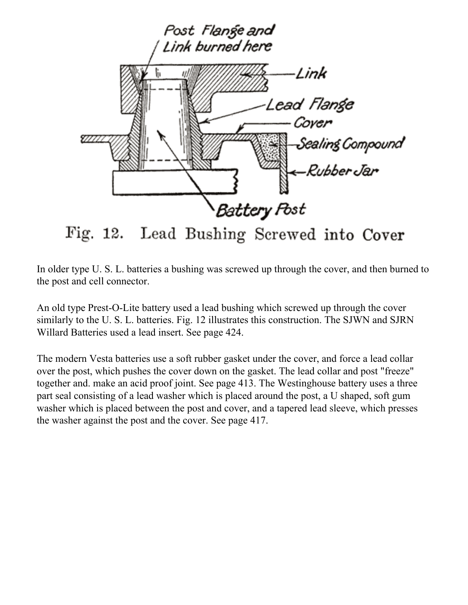

In older type U. S. L. batteries a bushing was screwed up through the cover, and then burned to the post and cell connector.

An old type Prest-O-Lite battery used a lead bushing which screwed up through the cover similarly to the U. S. L. batteries. Fig. 12 illustrates this construction. The SJWN and SJRN Willard Batteries used a lead insert. See page 424.

The modern Vesta batteries use a soft rubber gasket under the cover, and force a lead collar over the post, which pushes the cover down on the gasket. The lead collar and post "freeze" together and. make an acid proof joint. See page 413. The Westinghouse battery uses a three part seal consisting of a lead washer which is placed around the post, a U shaped, soft gum washer which is placed between the post and cover, and a tapered lead sleeve, which presses the washer against the post and the cover. See page 417.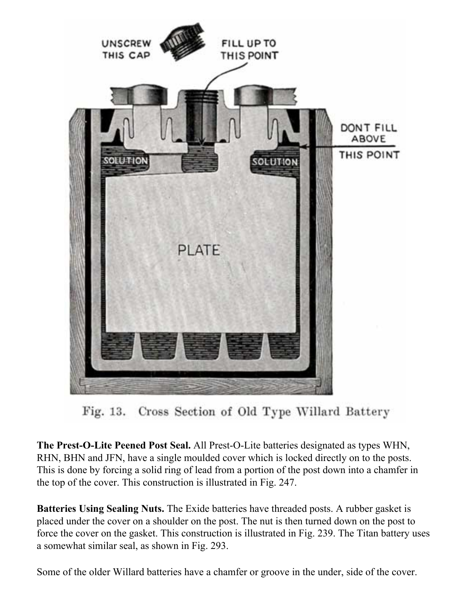

Fig. 13. Cross Section of Old Type Willard Battery

**The Prest-O-Lite Peened Post Seal.** All Prest-O-Lite batteries designated as types WHN, RHN, BHN and JFN, have a single moulded cover which is locked directly on to the posts. This is done by forcing a solid ring of lead from a portion of the post down into a chamfer in the top of the cover. This construction is illustrated in Fig. 247.

**Batteries Using Sealing Nuts.** The Exide batteries have threaded posts. A rubber gasket is placed under the cover on a shoulder on the post. The nut is then turned down on the post to force the cover on the gasket. This construction is illustrated in Fig. 239. The Titan battery uses a somewhat similar seal, as shown in Fig. 293.

Some of the older Willard batteries have a chamfer or groove in the under, side of the cover.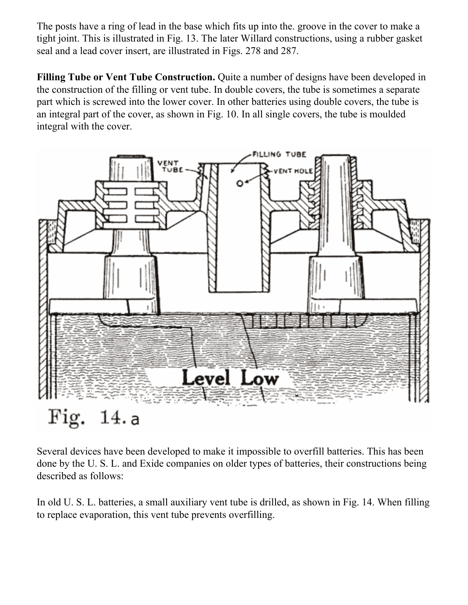The posts have a ring of lead in the base which fits up into the. groove in the cover to make a tight joint. This is illustrated in Fig. 13. The later Willard constructions, using a rubber gasket seal and a lead cover insert, are illustrated in Figs. 278 and 287.

**Filling Tube or Vent Tube Construction.** Quite a number of designs have been developed in the construction of the filling or vent tube. In double covers, the tube is sometimes a separate part which is screwed into the lower cover. In other batteries using double covers, the tube is an integral part of the cover, as shown in Fig. 10. In all single covers, the tube is moulded integral with the cover.



Several devices have been developed to make it impossible to overfill batteries. This has been done by the U. S. L. and Exide companies on older types of batteries, their constructions being described as follows:

In old U. S. L. batteries, a small auxiliary vent tube is drilled, as shown in Fig. 14. When filling to replace evaporation, this vent tube prevents overfilling.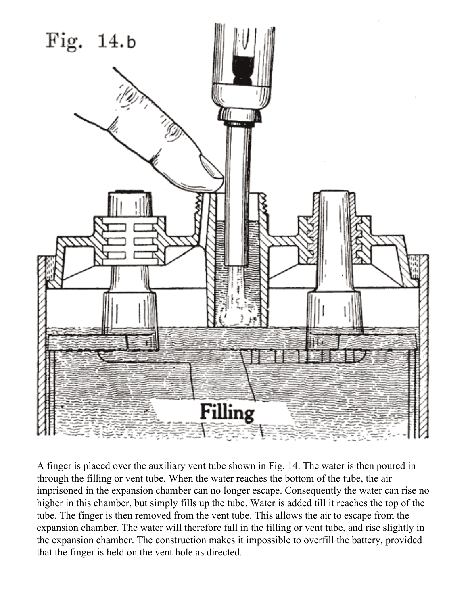

A finger is placed over the auxiliary vent tube shown in Fig. 14. The water is then poured in through the filling or vent tube. When the water reaches the bottom of the tube, the air imprisoned in the expansion chamber can no longer escape. Consequently the water can rise no higher in this chamber, but simply fills up the tube. Water is added till it reaches the top of the tube. The finger is then removed from the vent tube. This allows the air to escape from the expansion chamber. The water will therefore fall in the filling or vent tube, and rise slightly in the expansion chamber. The construction makes it impossible to overfill the battery, provided that the finger is held on the vent hole as directed.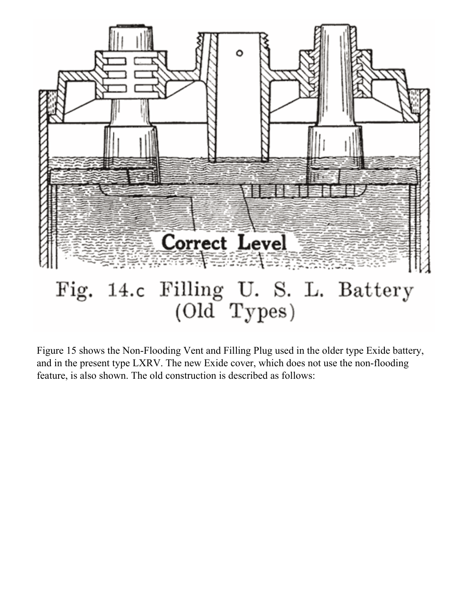

Figure 15 shows the Non-Flooding Vent and Filling Plug used in the older type Exide battery, and in the present type LXRV. The new Exide cover, which does not use the non-flooding feature, is also shown. The old construction is described as follows: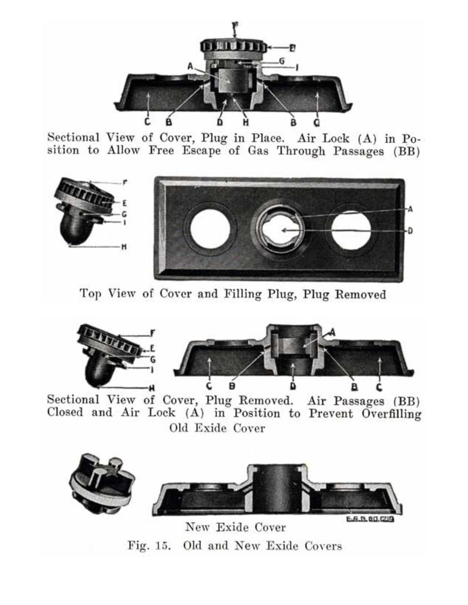

Sectional View of Cover, Plug in Place. Air Lock (A) in Position to Allow Free Escape of Gas Through Passages (BB)



Top View of Cover and Filling Plug, Plug Removed



Sectional View of Cover, Plug Removed. Air Passages (BB) Closed and Air Lock (A) in Position to Prevent Overfilling Old Exide Cover



New Exide Cover Fig. 15. Old and New Exide Covers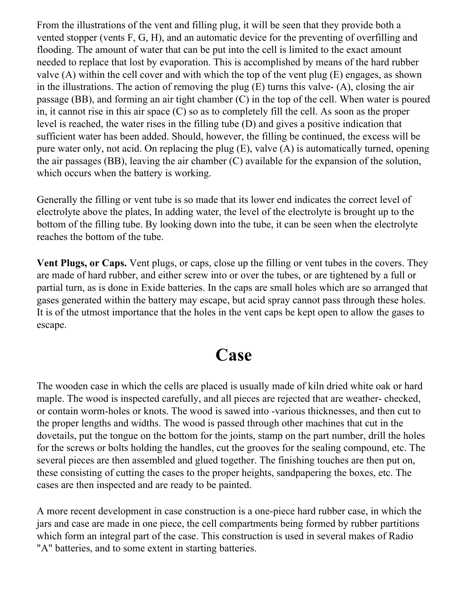From the illustrations of the vent and filling plug, it will be seen that they provide both a vented stopper (vents F, G, H), and an automatic device for the preventing of overfilling and flooding. The amount of water that can be put into the cell is limited to the exact amount needed to replace that lost by evaporation. This is accomplished by means of the hard rubber valve (A) within the cell cover and with which the top of the vent plug (E) engages, as shown in the illustrations. The action of removing the plug (E) turns this valve- (A), closing the air passage (BB), and forming an air tight chamber (C) in the top of the cell. When water is poured in, it cannot rise in this air space (C) so as to completely fill the cell. As soon as the proper level is reached, the water rises in the filling tube (D) and gives a positive indication that sufficient water has been added. Should, however, the filling be continued, the excess will be pure water only, not acid. On replacing the plug (E), valve (A) is automatically turned, opening the air passages (BB), leaving the air chamber (C) available for the expansion of the solution, which occurs when the battery is working.

Generally the filling or vent tube is so made that its lower end indicates the correct level of electrolyte above the plates, In adding water, the level of the electrolyte is brought up to the bottom of the filling tube. By looking down into the tube, it can be seen when the electrolyte reaches the bottom of the tube.

**Vent Plugs, or Caps.** Vent plugs, or caps, close up the filling or vent tubes in the covers. They are made of hard rubber, and either screw into or over the tubes, or are tightened by a full or partial turn, as is done in Exide batteries. In the caps are small holes which are so arranged that gases generated within the battery may escape, but acid spray cannot pass through these holes. It is of the utmost importance that the holes in the vent caps be kept open to allow the gases to escape.

#### **Case**

<span id="page-18-0"></span>The wooden case in which the cells are placed is usually made of kiln dried white oak or hard maple. The wood is inspected carefully, and all pieces are rejected that are weather- checked, or contain worm-holes or knots. The wood is sawed into -various thicknesses, and then cut to the proper lengths and widths. The wood is passed through other machines that cut in the dovetails, put the tongue on the bottom for the joints, stamp on the part number, drill the holes for the screws or bolts holding the handles, cut the grooves for the sealing compound, etc. The several pieces are then assembled and glued together. The finishing touches are then put on, these consisting of cutting the cases to the proper heights, sandpapering the boxes, etc. The cases are then inspected and are ready to be painted.

A more recent development in case construction is a one-piece hard rubber case, in which the jars and case are made in one piece, the cell compartments being formed by rubber partitions which form an integral part of the case. This construction is used in several makes of Radio "A" batteries, and to some extent in starting batteries.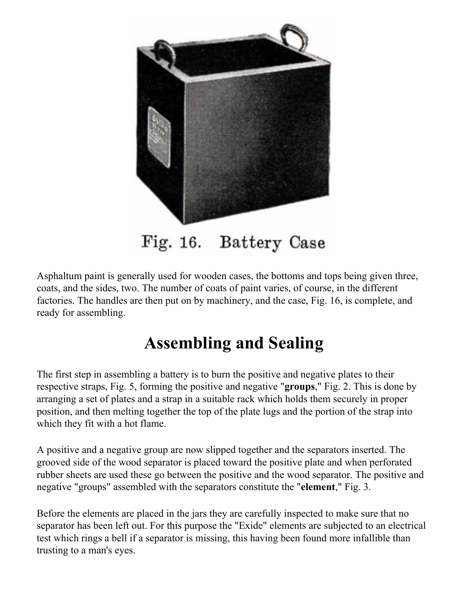

Fig. 16. Battery Case

Asphaltum paint is generally used for wooden cases, the bottoms and tops being given three, coats, and the sides, two. The number of coats of paint varies, of course, in the different factories. The handles are then put on by machinery, and the case, Fig. 16, is complete, and ready for assembling.

### **Assembling and Sealing**

The first step in assembling a battery is to burn the positive and negative plates to their respective straps, Fig. 5, forming the positive and negative "**groups**," Fig. 2. This is done by arranging a set of plates and a strap in a suitable rack which holds them securely in proper position, and then melting together the top of the plate lugs and the portion of the strap into which they fit with a hot flame.

A positive and a negative group are now slipped together and the separators inserted. The grooved side of the wood separator is placed toward the positive plate and when perforated rubber sheets are used these go between the positive and the wood separator. The positive and negative "groups" assembled with the separators constitute the "**element**," Fig. 3.

Before the elements are placed in the jars they are carefully inspected to make sure that no separator has been left out. For this purpose the "Exide" elements are subjected to an electrical test which rings a bell if a separator is missing, this having been found more infallible than trusting to a man's eyes.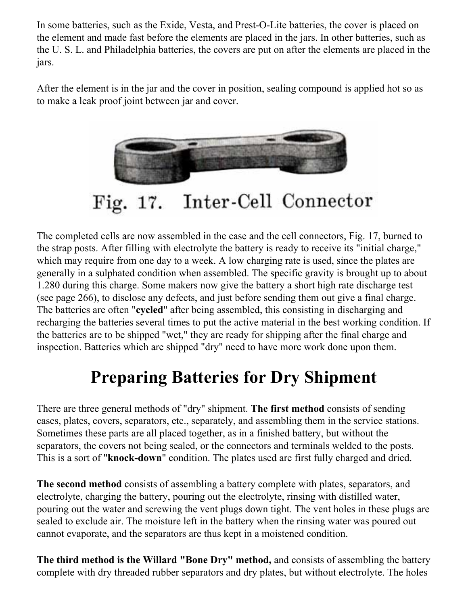In some batteries, such as the Exide, Vesta, and Prest-O-Lite batteries, the cover is placed on the element and made fast before the elements are placed in the jars. In other batteries, such as the U. S. L. and Philadelphia batteries, the covers are put on after the elements are placed in the jars.

After the element is in the jar and the cover in position, sealing compound is applied hot so as to make a leak proof joint between jar and cover.



Fig. 17. Inter-Cell Connector

The completed cells are now assembled in the case and the cell connectors, Fig. 17, burned to the strap posts. After filling with electrolyte the battery is ready to receive its "initial charge," which may require from one day to a week. A low charging rate is used, since the plates are generally in a sulphated condition when assembled. The specific gravity is brought up to about 1.280 during this charge. Some makers now give the battery a short high rate discharge test (see page 266), to disclose any defects, and just before sending them out give a final charge. The batteries are often "**cycled**" after being assembled, this consisting in discharging and recharging the batteries several times to put the active material in the best working condition. If the batteries are to be shipped "wet," they are ready for shipping after the final charge and inspection. Batteries which are shipped "dry" need to have more work done upon them.

## **Preparing Batteries for Dry Shipment**

There are three general methods of "dry" shipment. **The first method** consists of sending cases, plates, covers, separators, etc., separately, and assembling them in the service stations. Sometimes these parts are all placed together, as in a finished battery, but without the separators, the covers not being sealed, or the connectors and terminals welded to the posts. This is a sort of "**knock-down**" condition. The plates used are first fully charged and dried.

**The second method** consists of assembling a battery complete with plates, separators, and electrolyte, charging the battery, pouring out the electrolyte, rinsing with distilled water, pouring out the water and screwing the vent plugs down tight. The vent holes in these plugs are sealed to exclude air. The moisture left in the battery when the rinsing water was poured out cannot evaporate, and the separators are thus kept in a moistened condition.

**The third method is the Willard "Bone Dry" method,** and consists of assembling the battery complete with dry threaded rubber separators and dry plates, but without electrolyte. The holes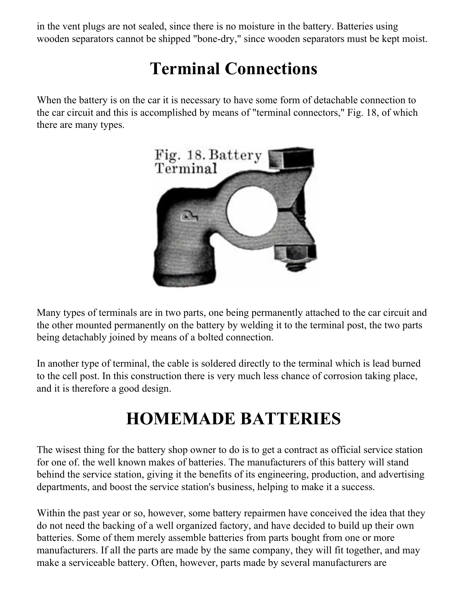in the vent plugs are not sealed, since there is no moisture in the battery. Batteries using wooden separators cannot be shipped "bone-dry," since wooden separators must be kept moist.

# **Terminal Connections**

When the battery is on the car it is necessary to have some form of detachable connection to the car circuit and this is accomplished by means of "terminal connectors," Fig. 18, of which there are many types.



Many types of terminals are in two parts, one being permanently attached to the car circuit and the other mounted permanently on the battery by welding it to the terminal post, the two parts being detachably joined by means of a bolted connection.

In another type of terminal, the cable is soldered directly to the terminal which is lead burned to the cell post. In this construction there is very much less chance of corrosion taking place, and it is therefore a good design.

# **HOMEMADE BATTERIES**

The wisest thing for the battery shop owner to do is to get a contract as official service station for one of. the well known makes of batteries. The manufacturers of this battery will stand behind the service station, giving it the benefits of its engineering, production, and advertising departments, and boost the service station's business, helping to make it a success.

Within the past year or so, however, some battery repairmen have conceived the idea that they do not need the backing of a well organized factory, and have decided to build up their own batteries. Some of them merely assemble batteries from parts bought from one or more manufacturers. If all the parts are made by the same company, they will fit together, and may make a serviceable battery. Often, however, parts made by several manufacturers are